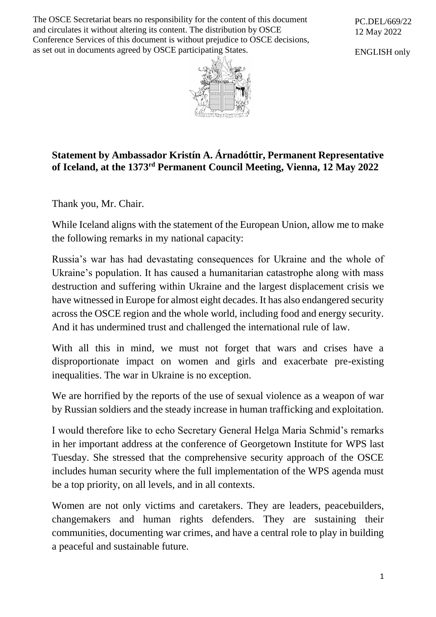The OSCE Secretariat bears no responsibility for the content of this document and circulates it without altering its content. The distribution by OSCE Conference Services of this document is without prejudice to OSCE decisions, as set out in documents agreed by OSCE participating States.

PC.DEL/669/22 12 May 2022

ENGLISH only



## **Statement by Ambassador Kristín A. Árnadóttir, Permanent Representative of Iceland, at the 1373 rd Permanent Council Meeting, Vienna, 12 May 2022**

Thank you, Mr. Chair.

While Iceland aligns with the statement of the European Union, allow me to make the following remarks in my national capacity:

Russia's war has had devastating consequences for Ukraine and the whole of Ukraine's population. It has caused a humanitarian catastrophe along with mass destruction and suffering within Ukraine and the largest displacement crisis we have witnessed in Europe for almost eight decades. It has also endangered security across the OSCE region and the whole world, including food and energy security. And it has undermined trust and challenged the international rule of law.

With all this in mind, we must not forget that wars and crises have a disproportionate impact on women and girls and exacerbate pre-existing inequalities. The war in Ukraine is no exception.

We are horrified by the reports of the use of sexual violence as a weapon of war by Russian soldiers and the steady increase in human trafficking and exploitation.

I would therefore like to echo Secretary General Helga Maria Schmid's remarks in her important address at the conference of Georgetown Institute for WPS last Tuesday. She stressed that the comprehensive security approach of the OSCE includes human security where the full implementation of the WPS agenda must be a top priority, on all levels, and in all contexts.

Women are not only victims and caretakers. They are leaders, peacebuilders, changemakers and human rights defenders. They are sustaining their communities, documenting war crimes, and have a central role to play in building a peaceful and sustainable future.